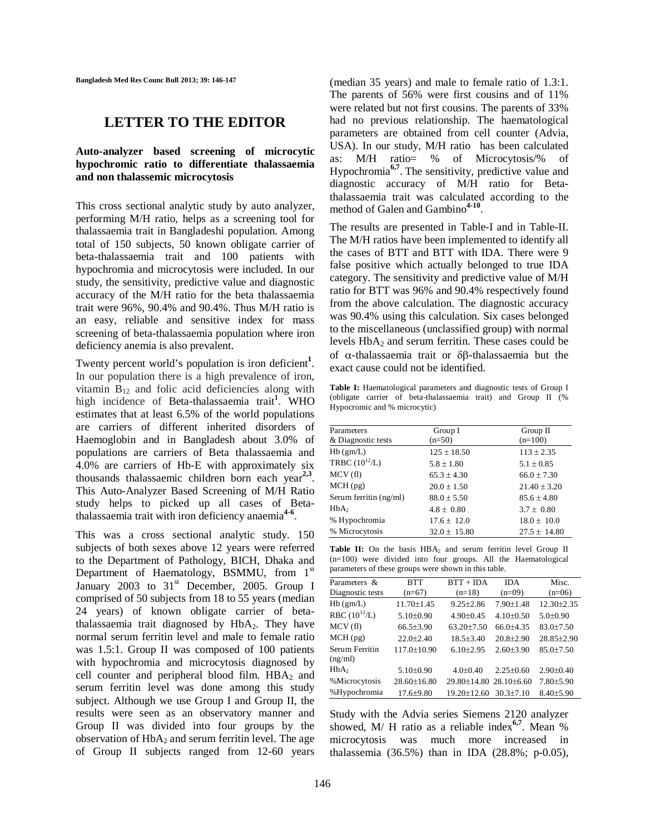**Bangladesh Med Res Counc Bull 2013; 39: 146-147**

## **LETTER TO THE EDITOR**

## **Auto-analyzer based screening of microcytic hypochromic ratio to differentiate thalassaemia and non thalassemic microcytosis**

This cross sectional analytic study by auto analyzer, performing M/H ratio, helps as a screening tool for thalassaemia trait in Bangladeshi population. Among total of 150 subjects, 50 known obligate carrier of beta-thalassaemia trait and 100 patients with hypochromia and microcytosis were included. In our study, the sensitivity, predictive value and diagnostic accuracy of the M/H ratio for the beta thalassaemia trait were 96%, 90.4% and 90.4%. Thus M/H ratio is an easy, reliable and sensitive index for mass screening of beta-thalassaemia population where iron deficiency anemia is also prevalent.

Twenty percent world's population is iron deficient**<sup>1</sup>** . In our population there is a high prevalence of iron, vitamin  $B_{12}$  and folic acid deficiencies along with high incidence of Beta-thalassaemia trait**<sup>1</sup>** . WHO estimates that at least 6.5% of the world populations are carriers of different inherited disorders of Haemoglobin and in Bangladesh about 3.0% of populations are carriers of Beta thalassaemia and 4.0% are carriers of Hb-E with approximately six thousands thalassaemic children born each year**2,3** . This Auto-Analyzer Based Screening of M/H Ratio study helps to picked up all cases of Betathalassaemia trait with iron deficiency anaemia**4-6** .

This was a cross sectional analytic study. 150 subjects of both sexes above 12 years were referred to the Department of Pathology, BICH, Dhaka and Department of Haematology, BSMMU, from 1<sup>st</sup> January 2003 to 31<sup>st</sup> December, 2005. Group I comprised of 50 subjects from 18 to 55 years (median 24 years) of known obligate carrier of betathalassaemia trait diagnosed by HbA<sub>2</sub>. They have normal serum ferritin level and male to female ratio was 1.5:1. Group II was composed of 100 patients with hypochromia and microcytosis diagnosed by cell counter and peripheral blood film.  $HBA<sub>2</sub>$  and serum ferritin level was done among this study subject. Although we use Group I and Group II, the results were seen as an observatory manner and Group II was divided into four groups by the observation of  $HbA_2$  and serum ferritin level. The age of Group II subjects ranged from 12-60 years

(median 35 years) and male to female ratio of 1.3:1. The parents of 56% were first cousins and of 11% were related but not first cousins. The parents of 33% had no previous relationship. The haematological parameters are obtained from cell counter (Advia, USA). In our study, M/H ratio has been calculated as: M/H ratio= % of Microcytosis/% of Hypochromia**6,7** . The sensitivity, predictive value and diagnostic accuracy of M/H ratio for Betathalassaemia trait was calculated according to the method of Galen and Gambino**4-10** .

The results are presented in Table-I and in Table-II. The M/H ratios have been implemented to identify all the cases of BTT and BTT with IDA. There were 9 false positive which actually belonged to true IDA category. The sensitivity and predictive value of M/H ratio for BTT was 96% and 90.4% respectively found from the above calculation. The diagnostic accuracy was 90.4% using this calculation. Six cases belonged to the miscellaneous (unclassified group) with normal levels  $HbA_2$  and serum ferritin. These cases could be of  $\alpha$ -thalassaemia trait or  $\delta\beta$ -thalassaemia but the exact cause could not be identified.

Table I: Haematological parameters and diagnostic tests of Group I (obligate carrier of beta-thalassaemia trait) and Group II (% Hypocromic and % microcytic)

| Parameters             | Group I          | Group II         |  |
|------------------------|------------------|------------------|--|
| & Diagnostic tests     | $(n=50)$         | $(n=100)$        |  |
| Hb(gm/L)               | $125 \pm 18.50$  | $113 \pm 2.35$   |  |
| TRBC $(10^{12}/L)$     | $5.8 \pm 1.80$   | $5.1 \pm 0.85$   |  |
| MCV(f)                 | $65.3 \pm 4.30$  | $66.0 \pm 7.30$  |  |
| MCH(pg)                | $20.0 \pm 1.50$  | $21.40 \pm 3.20$ |  |
| Serum ferritin (ng/ml) | $88.0 \pm 5.50$  | $85.6 \pm 4.80$  |  |
| HbA <sub>2</sub>       | $4.8 \pm 0.80$   | $3.7 \pm 0.80$   |  |
| % Hypochromia          | $17.6 \pm 12.0$  | $18.0 \pm 10.0$  |  |
| % Microcytosis         | $32.0 \pm 15.80$ | $27.5 \pm 14.80$ |  |

Table II: On the basis HBA<sub>2</sub> and serum ferritin level Group II (n=100) were divided into four groups. All the Haematological parameters of these groups were shown in this table.

| Parameters &      | <b>BTT</b>        | $BTT + IDA$            | <b>IDA</b>      | Misc.           |
|-------------------|-------------------|------------------------|-----------------|-----------------|
| Diagnostic tests  | $(n=67)$          | $(n=18)$               | $(n=09)$        | $(n=06)$        |
| Hb(gm/L)          | $11.70 \pm 1.45$  | $9.25 \pm 2.86$        | $7.90 \pm 1.48$ | 12.30±2.35      |
| RBC $(10^{12}/L)$ | $5.10\pm0.90$     | $4.90 \pm 0.45$        | $4.10+0.50$     | $5.0 \pm 0.90$  |
| MCV(f)            | $66.5 \pm 3.90$   | $63.20 \pm 7.50$       | $66.0 + 4.35$   | $83.0 \pm 7.50$ |
| MCH(pg)           | $22.0 \pm 2.40$   | $18.5 + 3.40$          | $20.8 + 2.90$   | 28.85±2.90      |
| Serum Ferritin    | $117.0 + 10.90$   | $6.10+2.95$            | $2.60 + 3.90$   | $85.0 + 7.50$   |
| (ng/ml)           |                   |                        |                 |                 |
| HbA <sub>2</sub>  | $5.10 \pm 0.90$   | $4.0+0.40$             | $2.25+0.60$     | $2.90 \pm 0.40$ |
| %Microcytosis     | $28.60 \pm 16.80$ | 29.80±14.80 28.10±6.60 |                 | $7.80{\pm}5.90$ |
| %Hypochromia      | $17.6 \pm 9.80$   | $19.20 \pm 12.60$      | $30.3 \pm 7.10$ | $8.40{\pm}5.90$ |

Study with the Advia series Siemens 2120 analyzer showed, M/ H ratio as a reliable index**6,7** . Mean % microcytosis was much more increased in thalassemia (36.5%) than in IDA (28.8%; p-0.05),